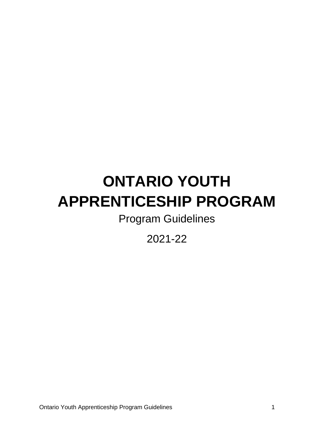# <span id="page-0-0"></span>**ONTARIO YOUTH APPRENTICESHIP PROGRAM**

Program Guidelines

2021-22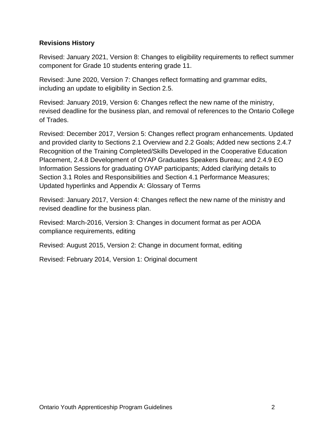#### <span id="page-1-0"></span>**Revisions History**

Revised: January 2021, Version 8: Changes to eligibility requirements to reflect summer component for Grade 10 students entering grade 11.

Revised: June 2020, Version 7: Changes reflect formatting and grammar edits, including an update to eligibility in Section 2.5.

Revised: January 2019, Version 6: Changes reflect the new name of the ministry, revised deadline for the business plan, and removal of references to the Ontario College of Trades.

Revised: December 2017, Version 5: Changes reflect program enhancements. Updated and provided clarity to Sections 2.1 Overview and 2.2 Goals; Added new sections 2.4.7 Recognition of the Training Completed/Skills Developed in the Cooperative Education Placement, 2.4.8 Development of OYAP Graduates Speakers Bureau; and 2.4.9 EO Information Sessions for graduating OYAP participants; Added clarifying details to Section 3.1 Roles and Responsibilities and Section 4.1 Performance Measures; Updated hyperlinks and Appendix A: Glossary of Terms

Revised: January 2017, Version 4: Changes reflect the new name of the ministry and revised deadline for the business plan.

Revised: March-2016, Version 3: Changes in document format as per AODA compliance requirements, editing

Revised: August 2015, Version 2: Change in document format, editing

Revised: February 2014, Version 1: Original document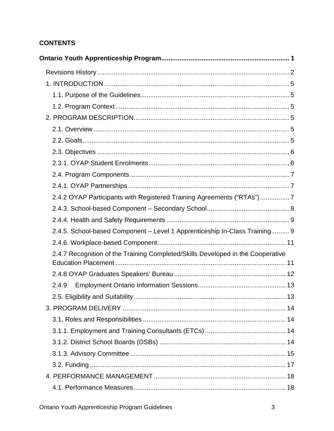# **CONTENTS**

| 2.4.2 OYAP Participants with Registered Training Agreements ("RTAs")7           |  |
|---------------------------------------------------------------------------------|--|
|                                                                                 |  |
|                                                                                 |  |
| 2.4.5. School-based Component - Level 1 Apprenticeship In-Class Training 9      |  |
|                                                                                 |  |
| 2.4.7 Recognition of the Training Completed/Skills Developed in the Cooperative |  |
|                                                                                 |  |
| 2.4.9                                                                           |  |
| 13                                                                              |  |
|                                                                                 |  |
|                                                                                 |  |
|                                                                                 |  |
|                                                                                 |  |
|                                                                                 |  |
|                                                                                 |  |
|                                                                                 |  |
|                                                                                 |  |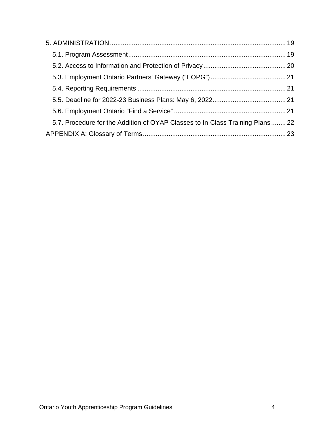| 5.7. Procedure for the Addition of OYAP Classes to In-Class Training Plans 22 |  |
|-------------------------------------------------------------------------------|--|
|                                                                               |  |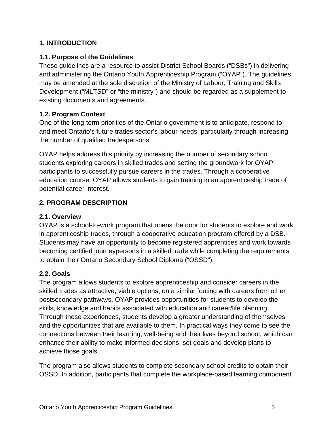#### <span id="page-4-0"></span>**1. INTRODUCTION**

#### <span id="page-4-1"></span>**1.1. Purpose of the Guidelines**

These guidelines are a resource to assist District School Boards ("DSBs") in delivering and administering the Ontario Youth Apprenticeship Program ("OYAP"). The guidelines may be amended at the sole discretion of the Ministry of Labour, Training and Skills Development ("MLTSD" or "the ministry") and should be regarded as a supplement to existing documents and agreements.

## <span id="page-4-2"></span>**1.2. Program Context**

One of the long-term priorities of the Ontario government is to anticipate, respond to and meet Ontario's future trades sector's labour needs, particularly through increasing the number of qualified tradespersons.

OYAP helps address this priority by increasing the number of secondary school students exploring careers in skilled trades and setting the groundwork for OYAP participants to successfully pursue careers in the trades. Through a cooperative education course, OYAP allows students to gain training in an apprenticeship trade of potential career interest.

#### <span id="page-4-3"></span>**2. PROGRAM DESCRIPTION**

#### <span id="page-4-4"></span>**2.1. Overview**

OYAP is a school-to-work program that opens the door for students to explore and work in apprenticeship trades, through a cooperative education program offered by a DSB. Students may have an opportunity to become registered apprentices and work towards becoming certified journeypersons in a skilled trade while completing the requirements to obtain their Ontario Secondary School Diploma ("OSSD").

#### <span id="page-4-5"></span>**2.2. Goals**

The program allows students to explore apprenticeship and consider careers in the skilled trades as attractive, viable options, on a similar footing with careers from other postsecondary pathways. OYAP provides opportunities for students to develop the skills, knowledge and habits associated with education and career/life planning. Through these experiences, students develop a greater understanding of themselves and the opportunities that are available to them. In practical ways they come to see the connections between their learning, well-being and their lives beyond school, which can enhance their ability to make informed decisions, set goals and develop plans to achieve those goals.

The program also allows students to complete secondary school credits to obtain their OSSD. In addition, participants that complete the workplace-based learning component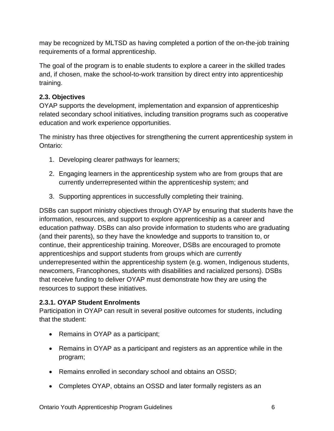may be recognized by MLTSD as having completed a portion of the on-the-job training requirements of a formal apprenticeship.

The goal of the program is to enable students to explore a career in the skilled trades and, if chosen, make the school-to-work transition by direct entry into apprenticeship training.

## <span id="page-5-0"></span>**2.3. Objectives**

OYAP supports the development, implementation and expansion of apprenticeship related secondary school initiatives, including transition programs such as cooperative education and work experience opportunities.

The ministry has three objectives for strengthening the current apprenticeship system in Ontario:

- 1. Developing clearer pathways for learners;
- 2. Engaging learners in the apprenticeship system who are from groups that are currently underrepresented within the apprenticeship system; and
- 3. Supporting apprentices in successfully completing their training.

DSBs can support ministry objectives through OYAP by ensuring that students have the information, resources, and support to explore apprenticeship as a career and education pathway. DSBs can also provide information to students who are graduating (and their parents), so they have the knowledge and supports to transition to, or continue, their apprenticeship training. Moreover, DSBs are encouraged to promote apprenticeships and support students from groups which are currently underrepresented within the apprenticeship system (e.g. women, Indigenous students, newcomers, Francophones, students with disabilities and racialized persons). DSBs that receive funding to deliver OYAP must demonstrate how they are using the resources to support these initiatives.

## <span id="page-5-1"></span>**2.3.1. OYAP Student Enrolments**

Participation in OYAP can result in several positive outcomes for students, including that the student:

- Remains in OYAP as a participant;
- Remains in OYAP as a participant and registers as an apprentice while in the program;
- Remains enrolled in secondary school and obtains an OSSD;
- Completes OYAP, obtains an OSSD and later formally registers as an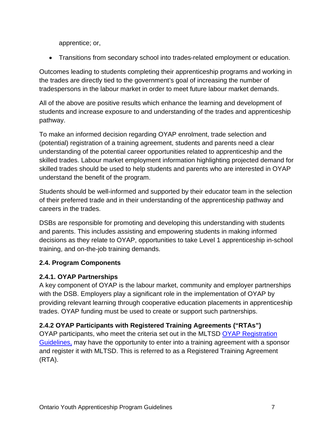apprentice; or,

• Transitions from secondary school into trades-related employment or education.

Outcomes leading to students completing their apprenticeship programs and working in the trades are directly tied to the government's goal of increasing the number of tradespersons in the labour market in order to meet future labour market demands.

All of the above are positive results which enhance the learning and development of students and increase exposure to and understanding of the trades and apprenticeship pathway.

To make an informed decision regarding OYAP enrolment, trade selection and (potential) registration of a training agreement, students and parents need a clear understanding of the potential career opportunities related to apprenticeship and the skilled trades. Labour market employment information highlighting projected demand for skilled trades should be used to help students and parents who are interested in OYAP understand the benefit of the program.

Students should be well-informed and supported by their educator team in the selection of their preferred trade and in their understanding of the apprenticeship pathway and careers in the trades.

DSBs are responsible for promoting and developing this understanding with students and parents. This includes assisting and empowering students in making informed decisions as they relate to OYAP, opportunities to take Level 1 apprenticeship in-school training, and on-the-job training demands.

# <span id="page-6-0"></span>**2.4. Program Components**

## <span id="page-6-1"></span>**2.4.1. OYAP Partnerships**

A key component of OYAP is the labour market, community and employer partnerships with the DSB. Employers play a significant role in the implementation of OYAP by providing relevant learning through cooperative education placements in apprenticeship trades. OYAP funding must be used to create or support such partnerships.

# <span id="page-6-2"></span>**2.4.2 OYAP Participants with Registered Training Agreements ("RTAs")**

OYAP participants, who meet the criteria set out in the MLTSD [OYAP Registration](http://www.tcu.gov.on.ca/eng/eopg/programs/oyap.html)  [Guidelines,](http://www.tcu.gov.on.ca/eng/eopg/programs/oyap.html) may have the opportunity to enter into a training agreement with a sponsor and register it with MLTSD. This is referred to as a Registered Training Agreement (RTA).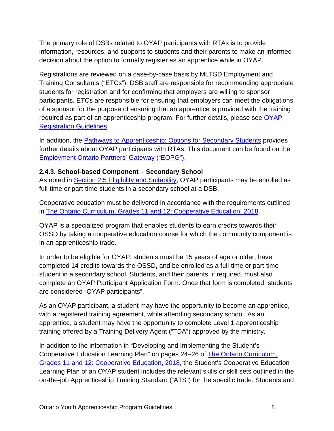The primary role of DSBs related to OYAP participants with RTAs is to provide information, resources, and supports to students and their parents to make an informed decision about the option to formally register as an apprentice while in OYAP.

Registrations are reviewed on a case-by-case basis by MLTSD Employment and Training Consultants ("ETCs"). DSB staff are responsible for recommending appropriate students for registration and for confirming that employers are willing to sponsor participants. ETCs are responsible for ensuring that employers can meet the obligations of a sponsor for the purpose of ensuring that an apprentice is provided with the training required as part of an apprenticeship program. For further details, please see [OYAP](http://www.tcu.gov.on.ca/eng/eopg/programs/oyap.html)  [Registration Guidelines.](http://www.tcu.gov.on.ca/eng/eopg/programs/oyap.html)

In addition, the [Pathways to Apprenticeship: Options for Secondary Students](http://www.edu.gov.on.ca/eng/teachers/studentsuccess/PathwayApprentice.pdf) provides further details about OYAP participants with RTAs. This document can be found on the [Employment Ontario Partners' Gateway \("EOPG"\).](http://www.ontario.ca/eopg)

#### <span id="page-7-0"></span>**2.4.3. School-based Component – Secondary School**

As noted in Section 2.5 Eligibility and Suitability, OYAP participants may be enrolled as full-time or part-time students in a secondary school at a DSB.

Cooperative education must be delivered in accordance with the requirements outlined in [The Ontario Curriculum, Grades 11 and 12: Cooperative Education, 2018.](http://www.edu.gov.on.ca/eng/curriculum/secondary/cooperative-education-2018.pdf)

OYAP is a specialized program that enables students to earn credits towards their OSSD by taking a cooperative education course for which the community component is in an apprenticeship trade.

In order to be eligible for OYAP, students must be 15 years of age or older, have completed 14 credits towards the OSSD, and be enrolled as a full-time or part-time student in a secondary school. Students, and their parents, if required, must also complete an OYAP Participant Application Form. Once that form is completed, students are considered "OYAP participants".

As an OYAP participant, a student may have the opportunity to become an apprentice, with a registered training agreement, while attending secondary school. As an apprentice, a student may have the opportunity to complete Level 1 apprenticeship training offered by a Training Delivery Agent ("TDA") approved by the ministry.

In addition to the information in "Developing and Implementing the Student's Cooperative Education Learning Plan" on pages 24–26 of [The Ontario Curriculum,](http://www.edu.gov.on.ca/eng/curriculum/secondary/cooperative-education-2018.pdf)  [Grades 11 and 12: Cooperative Education, 2018,](http://www.edu.gov.on.ca/eng/curriculum/secondary/cooperative-education-2018.pdf) the Student's Cooperative Education Learning Plan of an OYAP student includes the relevant skills or skill sets outlined in the on-the-job Apprenticeship Training Standard ("ATS") for the specific trade. Students and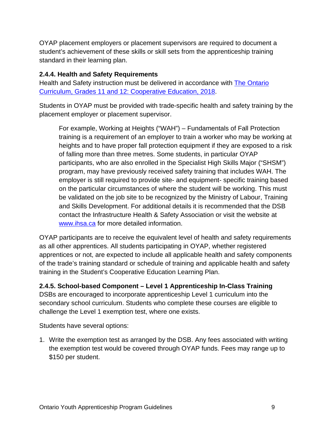OYAP placement employers or placement supervisors are required to document a student's achievement of these skills or skill sets from the apprenticeship training standard in their learning plan.

#### <span id="page-8-0"></span>**2.4.4. Health and Safety Requirements**

Health and Safety instruction must be delivered in accordance with [The Ontario](http://www.edu.gov.on.ca/eng/curriculum/secondary/cooperative-education-2018.pdf)  [Curriculum, Grades 11 and 12: Cooperative Education, 2018.](http://www.edu.gov.on.ca/eng/curriculum/secondary/cooperative-education-2018.pdf)

Students in OYAP must be provided with trade-specific health and safety training by the placement employer or placement supervisor.

For example, Working at Heights ("WAH") – Fundamentals of Fall Protection training is a requirement of an employer to train a worker who may be working at heights and to have proper fall protection equipment if they are exposed to a risk of falling more than three metres. Some students, in particular OYAP participants, who are also enrolled in the Specialist High Skills Major ("SHSM") program, may have previously received safety training that includes WAH. The employer is still required to provide site- and equipment- specific training based on the particular circumstances of where the student will be working. This must be validated on the job site to be recognized by the Ministry of Labour, Training and Skills Development. For additional details it is recommended that the DSB contact the Infrastructure Health & Safety Association or visit the website at [www.ihsa.ca](http://www.ihsa.ca/) for more detailed information.

OYAP participants are to receive the equivalent level of health and safety requirements as all other apprentices. All students participating in OYAP, whether registered apprentices or not, are expected to include all applicable health and safety components of the trade's training standard or schedule of training and applicable health and safety training in the Student's Cooperative Education Learning Plan.

<span id="page-8-1"></span>**2.4.5. School-based Component – Level 1 Apprenticeship In-Class Training** DSBs are encouraged to incorporate apprenticeship Level 1 curriculum into the secondary school curriculum. Students who complete these courses are eligible to challenge the Level 1 exemption test, where one exists.

Students have several options:

1. Write the exemption test as arranged by the DSB. Any fees associated with writing the exemption test would be covered through OYAP funds. Fees may range up to \$150 per student.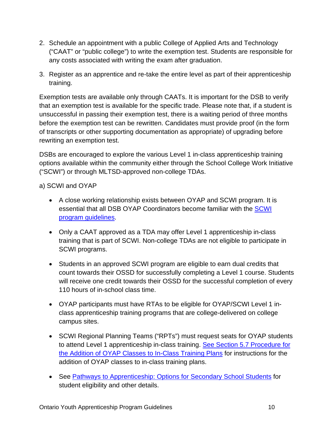- 2. Schedule an appointment with a public College of Applied Arts and Technology ("CAAT" or "public college") to write the exemption test. Students are responsible for any costs associated with writing the exam after graduation.
- 3. Register as an apprentice and re-take the entire level as part of their apprenticeship training.

Exemption tests are available only through CAATs. It is important for the DSB to verify that an exemption test is available for the specific trade. Please note that, if a student is unsuccessful in passing their exemption test, there is a waiting period of three months before the exemption test can be rewritten. Candidates must provide proof (in the form of transcripts or other supporting documentation as appropriate) of upgrading before rewriting an exemption test.

DSBs are encouraged to explore the various Level 1 in-class apprenticeship training options available within the community either through the School College Work Initiative ("SCWI") or through MLTSD-approved non-college TDAs.

a) SCWI and OYAP

- A close working relationship exists between OYAP and SCWI program. It is essential that all DSB OYAP Coordinators become familiar with the [SCWI](http://www.edu.gov.on.ca/eng/teachers/studentsuccess/dual.html) program [guidelines.](http://www.edu.gov.on.ca/eng/teachers/studentsuccess/dual.html)
- Only a CAAT approved as a TDA may offer Level 1 apprenticeship in-class training that is part of SCWI. Non-college TDAs are not eligible to participate in SCWI programs.
- Students in an approved SCWI program are eligible to earn dual credits that count towards their OSSD for successfully completing a Level 1 course. Students will receive one credit towards their OSSD for the successful completion of every 110 hours of in-school class time.
- OYAP participants must have RTAs to be eligible for OYAP/SCWI Level 1 inclass apprenticeship training programs that are college-delivered on college campus sites.
- SCWI Regional Planning Teams ("RPTs") must request seats for OYAP students to attend Level 1 apprenticeship in-class training. [See Section 5.7 Procedure for](#page-21-1)  [the Addition of OYAP Classes to In-Class](#page-21-1) Training Plans for instructions for the addition of OYAP classes to in-class training plans.
- See [Pathways to Apprenticeship: Options for Secondary School Students](http://www.edu.gov.on.ca/eng/teachers/studentsuccess/PathwayApprentice.pdf) for student eligibility and other details.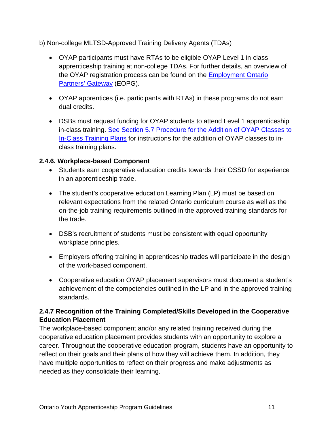b) Non-college MLTSD-Approved Training Delivery Agents (TDAs)

- OYAP participants must have RTAs to be eligible OYAP Level 1 in-class apprenticeship training at non-college TDAs. For further details, an overview of the OYAP registration process can be found on the [Employment Ontario](http://www.tcu.gov.on.ca/eng/eopg/programs/oyap.html)  [Partners' Gateway](http://www.tcu.gov.on.ca/eng/eopg/programs/oyap.html) (EOPG).
- OYAP apprentices (i.e. participants with RTAs) in these programs do not earn dual credits.
- DSBs must request funding for OYAP students to attend Level 1 apprenticeship in-class training. See Section 5.7 [Procedure for the Addition of OYAP Classes to](#page-21-1)  [In-Class Training](#page-21-1) Plans for instructions for the addition of OYAP classes to inclass training plans.

## <span id="page-10-0"></span>**2.4.6. Workplace-based Component**

- Students earn cooperative education credits towards their OSSD for experience in an apprenticeship trade.
- The student's cooperative education Learning Plan (LP) must be based on relevant expectations from the related Ontario curriculum course as well as the on-the-job training requirements outlined in the approved training standards for the trade.
- DSB's recruitment of students must be consistent with equal opportunity workplace principles.
- Employers offering training in apprenticeship trades will participate in the design of the work-based component.
- Cooperative education OYAP placement supervisors must document a student's achievement of the competencies outlined in the LP and in the approved training standards.

# <span id="page-10-1"></span>**2.4.7 Recognition of the Training Completed/Skills Developed in the Cooperative Education Placement**

The workplace-based component and/or any related training received during the cooperative education placement provides students with an opportunity to explore a career. Throughout the cooperative education program, students have an opportunity to reflect on their goals and their plans of how they will achieve them. In addition, they have multiple opportunities to reflect on their progress and make adjustments as needed as they consolidate their learning.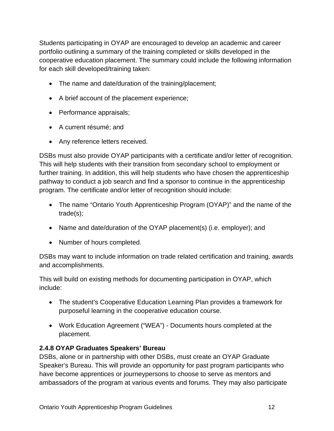Students participating in OYAP are encouraged to develop an academic and career portfolio outlining a summary of the training completed or skills developed in the cooperative education placement. The summary could include the following information for each skill developed/training taken:

- The name and date/duration of the training/placement;
- A brief account of the placement experience;
- Performance appraisals;
- A current résumé; and
- Any reference letters received.

DSBs must also provide OYAP participants with a certificate and/or letter of recognition. This will help students with their transition from secondary school to employment or further training. In addition, this will help students who have chosen the apprenticeship pathway to conduct a job search and find a sponsor to continue in the apprenticeship program. The certificate and/or letter of recognition should include:

- The name "Ontario Youth Apprenticeship Program (OYAP)" and the name of the trade(s);
- Name and date/duration of the OYAP placement(s) (i.e. employer); and
- Number of hours completed.

DSBs may want to include information on trade related certification and training, awards and accomplishments.

This will build on existing methods for documenting participation in OYAP, which include:

- The student's Cooperative Education Learning Plan provides a framework for purposeful learning in the cooperative education course.
- Work Education Agreement ("WEA") Documents hours completed at the placement.

## <span id="page-11-0"></span>**2.4.8 OYAP Graduates Speakers' Bureau**

DSBs, alone or in partnership with other DSBs, must create an OYAP Graduate Speaker's Bureau. This will provide an opportunity for past program participants who have become apprentices or journeypersons to choose to serve as mentors and ambassadors of the program at various events and forums. They may also participate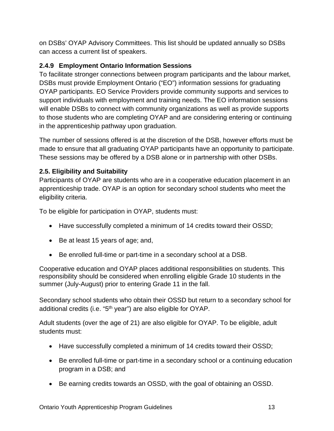on DSBs' OYAP Advisory Committees. This list should be updated annually so DSBs can access a current list of speakers.

# <span id="page-12-0"></span>**2.4.9 Employment Ontario Information Sessions**

To facilitate stronger connections between program participants and the labour market, DSBs must provide Employment Ontario ("EO") information sessions for graduating OYAP participants. EO Service Providers provide community supports and services to support individuals with employment and training needs. The EO information sessions will enable DSBs to connect with community organizations as well as provide supports to those students who are completing OYAP and are considering entering or continuing in the apprenticeship pathway upon graduation.

The number of sessions offered is at the discretion of the DSB, however efforts must be made to ensure that all graduating OYAP participants have an opportunity to participate. These sessions may be offered by a DSB alone or in partnership with other DSBs.

## <span id="page-12-1"></span>**2.5. Eligibility and Suitability**

Participants of OYAP are students who are in a cooperative education placement in an apprenticeship trade. OYAP is an option for secondary school students who meet the eligibility criteria.

To be eligible for participation in OYAP, students must:

- Have successfully completed a minimum of 14 credits toward their OSSD;
- Be at least 15 years of age; and,
- Be enrolled full-time or part-time in a secondary school at a DSB.

Cooperative education and OYAP places additional responsibilities on students. This responsibility should be considered when enrolling eligible Grade 10 students in the summer (July-August) prior to entering Grade 11 in the fall.

Secondary school students who obtain their OSSD but return to a secondary school for additional credits (i.e. "5<sup>th</sup> year") are also eligible for OYAP.

Adult students (over the age of 21) are also eligible for OYAP. To be eligible, adult students must:

- Have successfully completed a minimum of 14 credits toward their OSSD;
- Be enrolled full-time or part-time in a secondary school or a continuing education program in a DSB; and
- Be earning credits towards an OSSD, with the goal of obtaining an OSSD.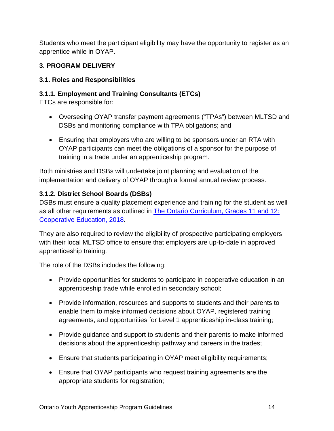Students who meet the participant eligibility may have the opportunity to register as an apprentice while in OYAP.

## <span id="page-13-0"></span>**3. PROGRAM DELIVERY**

## <span id="page-13-1"></span>**3.1. Roles and Responsibilities**

## <span id="page-13-2"></span>**3.1.1. Employment and Training Consultants (ETCs)**

ETCs are responsible for:

- Overseeing OYAP transfer payment agreements ("TPAs") between MLTSD and DSBs and monitoring compliance with TPA obligations; and
- Ensuring that employers who are willing to be sponsors under an RTA with OYAP participants can meet the obligations of a sponsor for the purpose of training in a trade under an apprenticeship program.

Both ministries and DSBs will undertake joint planning and evaluation of the implementation and delivery of OYAP through a formal annual review process.

## <span id="page-13-3"></span>**3.1.2. District School Boards (DSBs)**

DSBs must ensure a quality placement experience and training for the student as well as all other requirements as outlined in [The Ontario Curriculum, Grades 11 and 12:](http://www.edu.gov.on.ca/eng/curriculum/secondary/cooperative-education-2018.pdf)  [Cooperative Education, 2018.](http://www.edu.gov.on.ca/eng/curriculum/secondary/cooperative-education-2018.pdf)

They are also required to review the eligibility of prospective participating employers with their local MLTSD office to ensure that employers are up-to-date in approved apprenticeship training.

The role of the DSBs includes the following:

- Provide opportunities for students to participate in cooperative education in an apprenticeship trade while enrolled in secondary school;
- Provide information, resources and supports to students and their parents to enable them to make informed decisions about OYAP, registered training agreements, and opportunities for Level 1 apprenticeship in-class training;
- Provide guidance and support to students and their parents to make informed decisions about the apprenticeship pathway and careers in the trades;
- Ensure that students participating in OYAP meet eligibility requirements;
- Ensure that OYAP participants who request training agreements are the appropriate students for registration;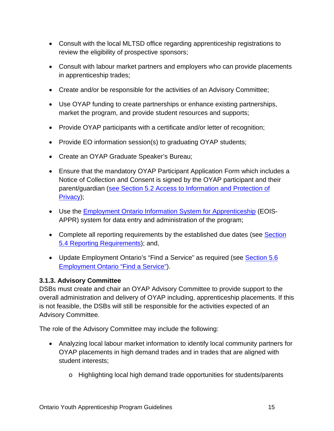- Consult with the local MLTSD office regarding apprenticeship registrations to review the eligibility of prospective sponsors;
- Consult with labour market partners and employers who can provide placements in apprenticeship trades;
- Create and/or be responsible for the activities of an Advisory Committee;
- Use OYAP funding to create partnerships or enhance existing partnerships, market the program, and provide student resources and supports;
- Provide OYAP participants with a certificate and/or letter of recognition;
- Provide EO information session(s) to graduating OYAP students;
- Create an OYAP Graduate Speaker's Bureau;
- Ensure that the mandatory OYAP Participant Application Form which includes a Notice of Collection and Consent is signed by the OYAP participant and their parent/guardian (see Section 5.2 [Access to Information and Protection of](#page-19-0)  [Privacy\)](#page-19-0);
- Use the **Employment Ontario Information System for Apprenticeship** (EOIS-APPR) system for data entry and administration of the program;
- Complete all reporting requirements by the established due dates (see Section 5.4 [Reporting Requirements\)](#page-20-1); and,
- Update Employment Ontario's "Find a Service" as required (see [Section 5.6](#page-20-3) [Employment Ontario "Find a Service"\)](#page-20-3).

## <span id="page-14-0"></span>**3.1.3. Advisory Committee**

DSBs must create and chair an OYAP Advisory Committee to provide support to the overall administration and delivery of OYAP including, apprenticeship placements. If this is not feasible, the DSBs will still be responsible for the activities expected of an Advisory Committee.

The role of the Advisory Committee may include the following:

- Analyzing local labour market information to identify local community partners for OYAP placements in high demand trades and in trades that are aligned with student interests;
	- o Highlighting local high demand trade opportunities for students/parents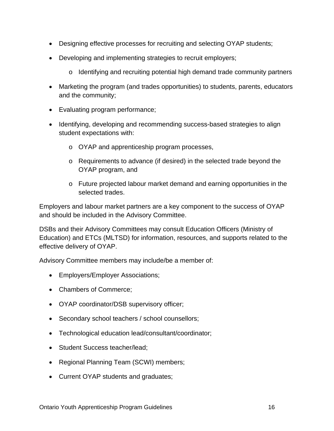- Designing effective processes for recruiting and selecting OYAP students;
- Developing and implementing strategies to recruit employers;
	- $\circ$  Identifying and recruiting potential high demand trade community partners
- Marketing the program (and trades opportunities) to students, parents, educators and the community;
- Evaluating program performance;
- Identifying, developing and recommending success-based strategies to align student expectations with:
	- o OYAP and apprenticeship program processes,
	- o Requirements to advance (if desired) in the selected trade beyond the OYAP program, and
	- o Future projected labour market demand and earning opportunities in the selected trades.

Employers and labour market partners are a key component to the success of OYAP and should be included in the Advisory Committee.

DSBs and their Advisory Committees may consult Education Officers (Ministry of Education) and ETCs (MLTSD) for information, resources, and supports related to the effective delivery of OYAP.

Advisory Committee members may include/be a member of:

- Employers/Employer Associations;
- Chambers of Commerce;
- OYAP coordinator/DSB supervisory officer;
- Secondary school teachers / school counsellors;
- Technological education lead/consultant/coordinator;
- Student Success teacher/lead;
- Regional Planning Team (SCWI) members;
- Current OYAP students and graduates;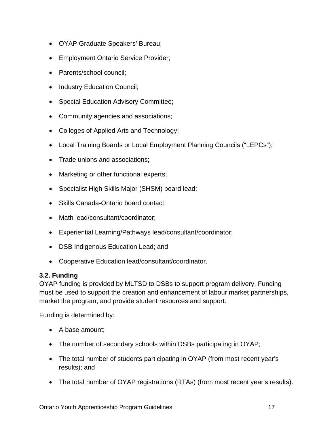- OYAP Graduate Speakers' Bureau;
- Employment Ontario Service Provider;
- Parents/school council;
- Industry Education Council;
- Special Education Advisory Committee;
- Community agencies and associations;
- Colleges of Applied Arts and Technology;
- Local Training Boards or Local Employment Planning Councils ("LEPCs");
- Trade unions and associations;
- Marketing or other functional experts;
- Specialist High Skills Major (SHSM) board lead;
- Skills Canada-Ontario board contact;
- Math lead/consultant/coordinator;
- Experiential Learning/Pathways lead/consultant/coordinator;
- DSB Indigenous Education Lead; and
- Cooperative Education lead/consultant/coordinator.

#### <span id="page-16-0"></span>**3.2. Funding**

OYAP funding is provided by MLTSD to DSBs to support program delivery. Funding must be used to support the creation and enhancement of labour market partnerships, market the program, and provide student resources and support.

Funding is determined by:

- A base amount;
- The number of secondary schools within DSBs participating in OYAP;
- The total number of students participating in OYAP (from most recent year's results); and
- The total number of OYAP registrations (RTAs) (from most recent year's results).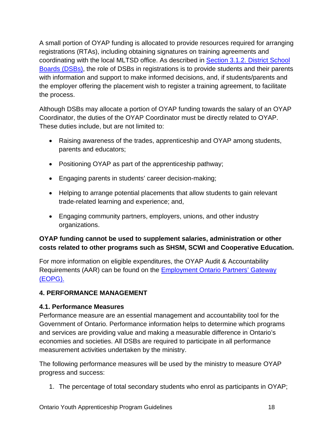A small portion of OYAP funding is allocated to provide resources required for arranging registrations (RTAs), including obtaining signatures on training agreements and coordinating with the local MLTSD office. As described in [Section 3.1.2. District School](#page-13-3)  [Boards \(DSBs\),](#page-13-3) the role of DSBs in registrations is to provide students and their parents with information and support to make informed decisions, and, if students/parents and the employer offering the placement wish to register a training agreement, to facilitate the process.

Although DSBs may allocate a portion of OYAP funding towards the salary of an OYAP Coordinator, the duties of the OYAP Coordinator must be directly related to OYAP. These duties include, but are not limited to:

- Raising awareness of the trades, apprenticeship and OYAP among students, parents and educators;
- Positioning OYAP as part of the apprenticeship pathway;
- Engaging parents in students' career decision-making;
- Helping to arrange potential placements that allow students to gain relevant trade-related learning and experience; and,
- Engaging community partners, employers, unions, and other industry organizations.

## **OYAP funding cannot be used to supplement salaries, administration or other costs related to other programs such as SHSM, SCWI and Cooperative Education.**

For more information on eligible expenditures, the OYAP Audit & Accountability Requirements (AAR) can be found on the [Employment Ontario Partners' Gateway](http://www.tcu.gov.on.ca/eng/eopg/programs/oyap.html) [\(EOPG\).](http://www.tcu.gov.on.ca/eng/eopg/programs/oyap.html)

# <span id="page-17-0"></span>**4. PERFORMANCE MANAGEMENT**

## <span id="page-17-1"></span>**4.1. Performance Measures**

Performance measure are an essential management and accountability tool for the Government of Ontario. Performance information helps to determine which programs and services are providing value and making a measurable difference in Ontario's economies and societies. All DSBs are required to participate in all performance measurement activities undertaken by the ministry.

The following performance measures will be used by the ministry to measure OYAP progress and success:

1. The percentage of total secondary students who enrol as participants in OYAP;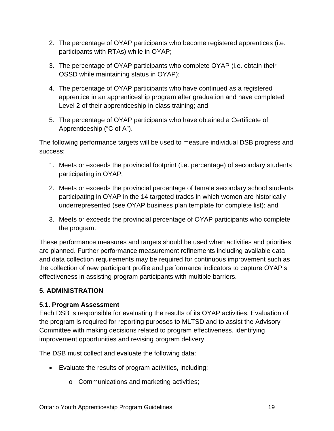- 2. The percentage of OYAP participants who become registered apprentices (i.e. participants with RTAs) while in OYAP;
- 3. The percentage of OYAP participants who complete OYAP (i.e. obtain their OSSD while maintaining status in OYAP);
- 4. The percentage of OYAP participants who have continued as a registered apprentice in an apprenticeship program after graduation and have completed Level 2 of their apprenticeship in-class training; and
- 5. The percentage of OYAP participants who have obtained a Certificate of Apprenticeship ("C of A").

The following performance targets will be used to measure individual DSB progress and success:

- 1. Meets or exceeds the provincial footprint (i.e. percentage) of secondary students participating in OYAP;
- 2. Meets or exceeds the provincial percentage of female secondary school students participating in OYAP in the 14 targeted trades in which women are historically underrepresented (see OYAP business plan template for complete list); and
- 3. Meets or exceeds the provincial percentage of OYAP participants who complete the program.

These performance measures and targets should be used when activities and priorities are planned. Further performance measurement refinements including available data and data collection requirements may be required for continuous improvement such as the collection of new participant profile and performance indicators to capture OYAP's effectiveness in assisting program participants with multiple barriers.

## <span id="page-18-0"></span>**5. ADMINISTRATION**

# <span id="page-18-1"></span>**5.1. Program Assessment**

Each DSB is responsible for evaluating the results of its OYAP activities. Evaluation of the program is required for reporting purposes to MLTSD and to assist the Advisory Committee with making decisions related to program effectiveness, identifying improvement opportunities and revising program delivery.

The DSB must collect and evaluate the following data:

- Evaluate the results of program activities, including:
	- o Communications and marketing activities;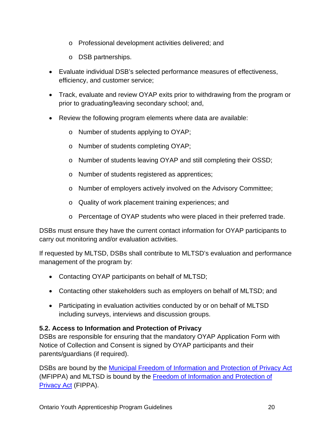- o Professional development activities delivered; and
- o DSB partnerships.
- Evaluate individual DSB's selected performance measures of effectiveness, efficiency, and customer service;
- Track, evaluate and review OYAP exits prior to withdrawing from the program or prior to graduating/leaving secondary school; and,
- Review the following program elements where data are available:
	- o Number of students applying to OYAP;
	- o Number of students completing OYAP;
	- o Number of students leaving OYAP and still completing their OSSD;
	- o Number of students registered as apprentices;
	- o Number of employers actively involved on the Advisory Committee;
	- o Quality of work placement training experiences; and
	- o Percentage of OYAP students who were placed in their preferred trade.

DSBs must ensure they have the current contact information for OYAP participants to carry out monitoring and/or evaluation activities.

If requested by MLTSD, DSBs shall contribute to MLTSD's evaluation and performance management of the program by:

- Contacting OYAP participants on behalf of MLTSD;
- Contacting other stakeholders such as employers on behalf of MLTSD; and
- Participating in evaluation activities conducted by or on behalf of MLTSD including surveys, interviews and discussion groups.

#### <span id="page-19-0"></span>**5.2. Access to Information and Protection of Privacy**

DSBs are responsible for ensuring that the mandatory OYAP Application Form with Notice of Collection and Consent is signed by OYAP participants and their parents/guardians (if required).

DSBs are bound by the [Municipal Freedom of Information and Protection of Privacy Act](https://www.ontario.ca/laws/statute/90m56) (MFIPPA) and MLTSD is bound by the [Freedom of Information and Protection of](https://www.ipc.on.ca/english/Decisions-and-Resolutions/The-Acts/)  [Privacy Act](https://www.ipc.on.ca/english/Decisions-and-Resolutions/The-Acts/) (FIPPA).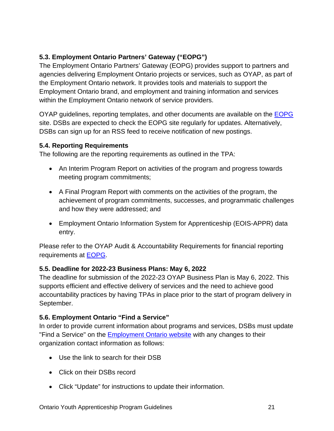# <span id="page-20-0"></span>**5.3. Employment Ontario Partners' Gateway ("EOPG")**

The Employment Ontario Partners' Gateway (EOPG) provides support to partners and agencies delivering Employment Ontario projects or services, such as OYAP, as part of the Employment Ontario network. It provides tools and materials to support the Employment Ontario brand, and employment and training information and services within the Employment Ontario network of service providers.

OYAP guidelines, reporting templates, and other documents are available on the [EOPG](http://www.tcu.gov.on.ca/eng/eopg/programs/oyap.html) site. DSBs are expected to check the EOPG site regularly for updates. Alternatively, DSBs can sign up for an RSS feed to receive notification of new postings.

#### <span id="page-20-1"></span>**5.4. Reporting Requirements**

The following are the reporting requirements as outlined in the TPA:

- An Interim Program Report on activities of the program and progress towards meeting program commitments;
- A Final Program Report with comments on the activities of the program, the achievement of program commitments, successes, and programmatic challenges and how they were addressed; and
- Employment Ontario Information System for Apprenticeship (EOIS-APPR) data entry.

Please refer to the OYAP Audit & Accountability Requirements for financial reporting requirements at [EOPG.](http://www.tcu.gov.on.ca/eng/eopg/programs/oyap.html)

#### <span id="page-20-2"></span>**5.5. Deadline for 2022-23 Business Plans: May 6, 2022**

The deadline for submission of the 2022-23 OYAP Business Plan is May 6, 2022. This supports efficient and effective delivery of services and the need to achieve good accountability practices by having TPAs in place prior to the start of program delivery in September.

## <span id="page-20-3"></span>**5.6. Employment Ontario "Find a Service"**

In order to provide current information about programs and services, DSBs must update "Find a Service" on the **Employment Ontario website** with any changes to their organization contact information as follows:

- Use the link to search for their DSB
- Click on their DSBs record
- Click "Update" for instructions to update their information.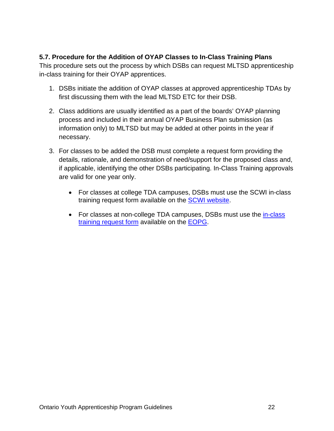#### <span id="page-21-1"></span><span id="page-21-0"></span>**5.7. Procedure for the Addition of OYAP Classes to In-Class Training Plans**

This procedure sets out the process by which DSBs can request MLTSD apprenticeship in-class training for their OYAP apprentices.

- 1. DSBs initiate the addition of OYAP classes at approved apprenticeship TDAs by first discussing them with the lead MLTSD ETC for their DSB.
- 2. Class additions are usually identified as a part of the boards' OYAP planning process and included in their annual OYAP Business Plan submission (as information only) to MLTSD but may be added at other points in the year if necessary.
- 3. For classes to be added the DSB must complete a request form providing the details, rationale, and demonstration of need/support for the proposed class and, if applicable, identifying the other DSBs participating. In-Class Training approvals are valid for one year only.
	- For classes at college TDA campuses, DSBs must use the SCWI in-class training request form available on the **SCWI website**.
	- For classes at non-college TDA campuses, DSBs must use the in-class training [request form](http://www.tcu.gov.on.ca/eng/eopg/publications/oyap-seat-purchase-form-en.pdf) available on the [EOPG.](http://www.tcu.gov.on.ca/eng/eopg/programs/oyap.html)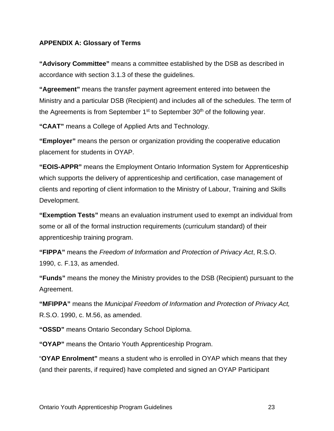#### <span id="page-22-0"></span>**APPENDIX A: Glossary of Terms**

**"Advisory Committee"** means a committee established by the DSB as described in accordance with section 3.1.3 of these the guidelines.

**"Agreement"** means the transfer payment agreement entered into between the Ministry and a particular DSB (Recipient) and includes all of the schedules. The term of the Agreements is from September  $1<sup>st</sup>$  to September  $30<sup>th</sup>$  of the following year.

**"CAAT"** means a College of Applied Arts and Technology.

**"Employer"** means the person or organization providing the cooperative education placement for students in OYAP.

**"EOIS-APPR"** means the Employment Ontario Information System for Apprenticeship which supports the delivery of apprenticeship and certification, case management of clients and reporting of client information to the Ministry of Labour, Training and Skills Development.

**"Exemption Tests"** means an evaluation instrument used to exempt an individual from some or all of the formal instruction requirements (curriculum standard) of their apprenticeship training program.

**"FIPPA"** means the *Freedom of Information and Protection of Privacy Act*, R.S.O. 1990, c. F.13, as amended.

**"Funds"** means the money the Ministry provides to the DSB (Recipient) pursuant to the Agreement.

**"MFIPPA"** means the *Municipal Freedom of Information and Protection of Privacy Act,* R.S.O. 1990, c. M.56, as amended.

**"OSSD"** means Ontario Secondary School Diploma.

**"OYAP"** means the Ontario Youth Apprenticeship Program.

"**OYAP Enrolment"** means a student who is enrolled in OYAP which means that they (and their parents, if required) have completed and signed an OYAP Participant